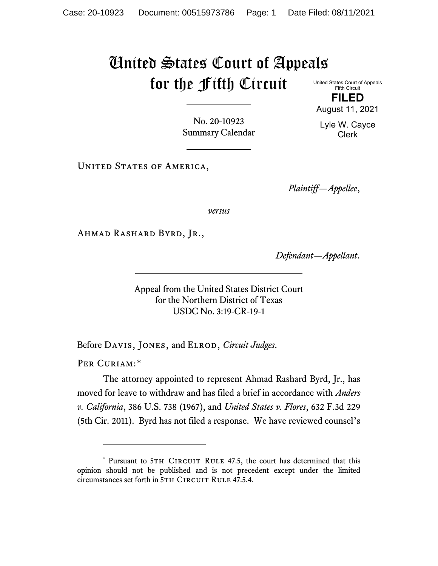## United States Court of Appeals for the Fifth Circuit

United States Court of Appeals Fifth Circuit **FILED**

August 11, 2021

Lyle W. Cayce Clerk

No. 20-10923 Summary Calendar

UNITED STATES OF AMERICA,

*Plaintiff—Appellee*,

*versus*

Ahmad Rashard Byrd, Jr.,

*Defendant—Appellant*.

Appeal from the United States District Court for the Northern District of Texas USDC No. 3:19-CR-19-1

Before Davis, Jones, and Elrod, *Circuit Judges*.

PER CURIAM:[\\*](#page-0-0)

The attorney appointed to represent Ahmad Rashard Byrd, Jr., has moved for leave to withdraw and has filed a brief in accordance with *Anders v. California*, 386 U.S. 738 (1967), and *United States v. Flores*, 632 F.3d 229 (5th Cir. 2011). Byrd has not filed a response. We have reviewed counsel's

<span id="page-0-0"></span><sup>\*</sup> Pursuant to 5TH CIRCUIT RULE 47.5, the court has determined that this opinion should not be published and is not precedent except under the limited circumstances set forth in 5TH CIRCUIT RULE 47.5.4.